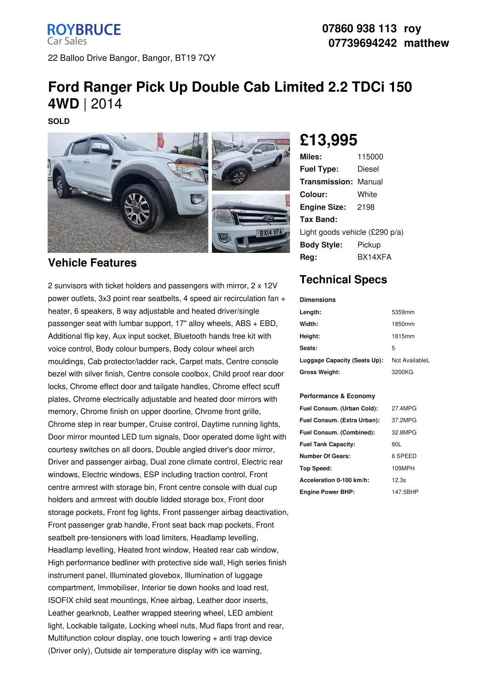**ROYBRUCE Car Sales** 22 Balloo Drive Bangor, Bangor, BT19 7QY

# **Ford Ranger Pick Up Double Cab Limited 2.2 TDCi 150 4WD** | 2014

**SOLD**



#### **Vehicle Features**

2 sunvisors with ticket holders and passengers with mirror, 2 x 12V power outlets, 3x3 point rear seatbelts, 4 speed air recirculation fan + heater, 6 speakers, 8 way adjustable and heated driver/single passenger seat with lumbar support, 17" alloy wheels, ABS + EBD, Additional flip key, Aux input socket, Bluetooth hands free kit with voice control, Body colour bumpers, Body colour wheel arch mouldings, Cab protector/ladder rack, Carpet mats, Centre console bezel with silver finish, Centre console coolbox, Child proof rear door locks, Chrome effect door and tailgate handles, Chrome effect scuff plates, Chrome electrically adjustable and heated door mirrors with memory, Chrome finish on upper doorline, Chrome front grille, Chrome step in rear bumper, Cruise control, Daytime running lights, Door mirror mounted LED turn signals, Door operated dome light with courtesy switches on all doors, Double angled driver's door mirror, Driver and passenger airbag, Dual zone climate control, Electric rear windows, Electric windows, ESP including traction control, Front centre armrest with storage bin, Front centre console with dual cup holders and armrest with double lidded storage box, Front door storage pockets, Front fog lights, Front passenger airbag deactivation, Front passenger grab handle, Front seat back map pockets, Front seatbelt pre-tensioners with load limiters, Headlamp levelling, Headlamp levelling, Heated front window, Heated rear cab window, High performance bedliner with protective side wall, High series finish instrument panel, Illuminated glovebox, Illumination of luggage compartment, Immobiliser, Interior tie down hooks and load rest, ISOFIX child seat mountings, Knee airbag, Leather door inserts, Leather gearknob, Leather wrapped steering wheel, LED ambient light, Lockable tailgate, Locking wheel nuts, Mud flaps front and rear, Multifunction colour display, one touch lowering + anti trap device (Driver only), Outside air temperature display with ice warning,

# **£13,995**

| 115000                         |  |  |
|--------------------------------|--|--|
| Diesel                         |  |  |
| Transmission:<br>Manual        |  |  |
| White                          |  |  |
| 2198                           |  |  |
|                                |  |  |
| Light goods vehicle (£290 p/a) |  |  |
| Pickup                         |  |  |
| RX14XFA                        |  |  |
|                                |  |  |

## **Technical Specs**

| <b>Dimensions</b>            |                |
|------------------------------|----------------|
| Length:                      | 5359mm         |
| Width:                       | 1850mm         |
| Height:                      | 1815mm         |
| Seats:                       | 5              |
| Luggage Capacity (Seats Up): | Not AvailableL |
| <b>Gross Weight:</b>         | 3200KG         |

#### **Performance & Economy**

| Fuel Consum. (Urban Cold):  | 27.4MPG  |
|-----------------------------|----------|
| Fuel Consum. (Extra Urban): | 37.2MPG  |
| Fuel Consum. (Combined):    | 32.8MPG  |
| <b>Fuel Tank Capacity:</b>  | 80L      |
| <b>Number Of Gears:</b>     | 6 SPEED  |
| Top Speed:                  | 109MPH   |
| Acceleration 0-100 km/h:    | 12.3s    |
| <b>Engine Power BHP:</b>    | 147.5BHP |